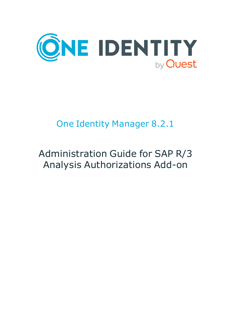

# One Identity Manager 8.2.1

# Administration Guide for SAP R/3 Analysis Authorizations Add-on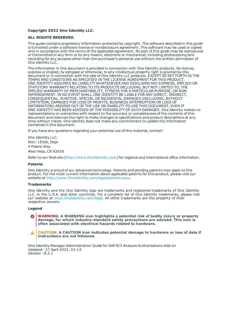#### **Copyright 2022 One Identity LLC.**

#### **ALL RIGHTS RESERVED.**

This guide contains proprietary information protected by copyright. The software described in this guide is furnished under a software license or nondisclosure agreement. This software may be used or copied only in accordance with the terms of the applicable agreement. No part of this guide may be reproduced or transmitted in any form or by any means, electronic or mechanical, including photocopying and recording for any purpose other than the purchaser's personal use without the written permission of One Identity LLC .

The information in this document is provided in connection with One Identity products. No license, express or implied, by estoppel or otherwise, to any intellectual property right is granted by this document or in connection with the sale of One Identity LLC products. EXCEPT AS SET FORTH IN THE TERMS AND CONDITIONS AS SPECIFIED IN THE LICENSE AGREEMENT FOR THIS PRODUCT, ONE IDENTITY ASSUMES NO LIABILITY WHATSOEVER AND DISCLAIMS ANY EXPRESS, IMPLIED OR STATUTORY WARRANTY RELATING TO ITS PRODUCTS INCLUDING, BUT NOT LIMITED TO, THE IMPLIED WARRANTY OF MERCHANTABILITY, FITNESS FOR A PARTICULAR PURPOSE, OR NON-INFRINGEMENT. IN NO EVENT SHALL ONE IDENTITY BE LIABLE FOR ANY DIRECT, INDIRECT, CONSEQUENTIAL, PUNITIVE, SPECIAL OR INCIDENTAL DAMAGES (INCLUDING, WITHOUT LIMITATION, DAMAGES FOR LOSS OF PROFITS, BUSINESS INTERRUPTION OR LOSS OF INFORMATION) ARISING OUT OF THE USE OR INABILITY TO USE THIS DOCUMENT, EVEN IF ONE IDENTITY HAS BEEN ADVISED OF THE POSSIBILITY OF SUCH DAMAGES. One Identity makes no representations or warranties with respect to the accuracy or completeness of the contents of this document and reserves the right to make changes to specifications and product descriptions at any time without notice. One Identity does not make any commitment to update the information contained in this document.

If you have any questions regarding your potential use of this material, contact:

One Identity LLC. Attn: LEGAL Dept 4 Polaris Way Aliso Viejo, CA 92656

Refer to our Web site ([http://www.OneIdentity.com](http://www.oneidentity.com/)) for regional and international office information.

#### **Patents**

One Identity is proud of our advanced technology. Patents and pending patents may apply to this product. For the most current information about applicable patents for this product, please visit our website at [http://www.OneIdentity.com/legal/patents.aspx](http://www.oneidentity.com/legal/patents.aspx).

#### **Trademarks**

One Identity and the One Identity logo are trademarks and registered trademarks of One Identity LLC. in the U.S.A. and other countries. For a complete list of One Identity trademarks, please visit our website at [www.OneIdentity.com/legal](http://www.oneidentity.com/legal). All other trademarks are the property of their respective owners.

#### **Legend**

**WARNING: A WARNING icon highlights a potential risk of bodily injury or property damage, for which industry-standard safety precautions are advised. This icon is often associated with electrical hazards related to hardware.**

**CAUTION: A CAUTION icon indicates potential damage to hardware or loss of data if** A **instructions are not followed.**

One Identity Manager Administration Guide for SAP R/3 Analysis Authorizations Add-on Updated - 27 April 2022, 03:14 Version - 8.2.1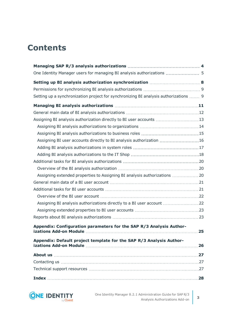### **Contents**

| One Identity Manager users for managing BI analysis authorizations  5                |    |
|--------------------------------------------------------------------------------------|----|
|                                                                                      |    |
|                                                                                      |    |
| Setting up a synchronization project for synchronizing BI analysis authorizations  9 |    |
|                                                                                      |    |
|                                                                                      |    |
| Assigning BI analysis authorization directly to BI user accounts 13                  |    |
|                                                                                      |    |
|                                                                                      |    |
| Assigning BI user accounts directly to BI analysis authorization 16                  |    |
|                                                                                      |    |
|                                                                                      |    |
|                                                                                      |    |
|                                                                                      |    |
| Assigning extended properties to Assigning BI analysis authorizations  20            |    |
|                                                                                      |    |
|                                                                                      |    |
|                                                                                      |    |
| Assigning BI analysis authorizations directly to a BI user account 22                |    |
|                                                                                      |    |
|                                                                                      |    |
| Appendix: Configuration parameters for the SAP R/3 Analysis Author-                  |    |
| Appendix: Default project template for the SAP R/3 Analysis Author-                  | 26 |
|                                                                                      | 27 |
|                                                                                      |    |
|                                                                                      |    |
|                                                                                      |    |

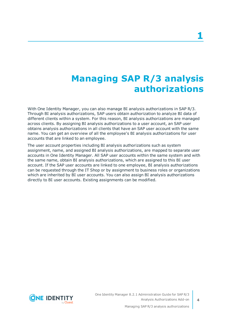## **Managing SAP R/3 analysis authorizations**

<span id="page-3-0"></span>With One Identity Manager, you can also manage BI analysis authorizations in SAP R/3. Through BI analysis authorizations, SAP users obtain authorization to analyze BI data of different clients within a system. For this reason, BI analysis authorizations are managed across clients. By assigning BI analysis authorizations to a user account, an SAP user obtains analysis authorizations in all clients that have an SAP user account with the same name. You can get an overview of all the employee's BI analysis authorizations for user accounts that are linked to an employee.

The user account properties including BI analysis authorizations such as system assignment, name, and assigned BI analysis authorizations, are mapped to separate user accounts in One Identity Manager. All SAP user accounts within the same system and with the same name, obtain BI analysis authorizations, which are assigned to this BI user account. If the SAP user accounts are linked to one employee, BI analysis authorizations can be requested through the IT Shop or by assignment to business roles or organizations which are inherited by BI user accounts. You can also assign BI analysis authorizations directly to BI user accounts. Existing assignments can be modified.

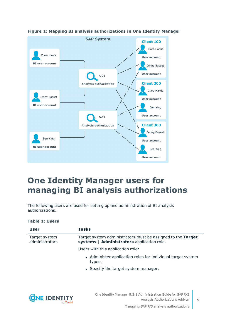

#### **Figure 1: Mapping BI analysis authorizations in One Identity Manager**

### <span id="page-4-0"></span>**One Identity Manager users for managing BI analysis authorizations**

The following users are used for setting up and administration of BI analysis authorizations.

#### **Table 1: Users**

| User                            | Tasks                                                                                                     |
|---------------------------------|-----------------------------------------------------------------------------------------------------------|
| Target system<br>administrators | Target system administrators must be assigned to the Target<br>systems   Administrators application role. |
|                                 | Users with this application role:                                                                         |
|                                 | • Administer application roles for individual target system<br>types.                                     |
|                                 | • Specify the target system manager.                                                                      |

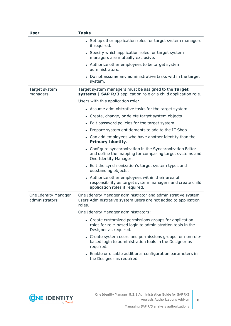| <b>User</b>                            | <b>Tasks</b>                                                                                                                                  |  |  |
|----------------------------------------|-----------------------------------------------------------------------------------------------------------------------------------------------|--|--|
|                                        | • Set up other application roles for target system managers<br>if required.                                                                   |  |  |
|                                        | • Specify which application roles for target system<br>managers are mutually exclusive.                                                       |  |  |
|                                        | • Authorize other employees to be target system<br>administrators.                                                                            |  |  |
|                                        | Do not assume any administrative tasks within the target<br>system.                                                                           |  |  |
| Target system<br>managers              | Target system managers must be assigned to the Target<br>systems   SAP R/3 application role or a child application role.                      |  |  |
|                                        | Users with this application role:                                                                                                             |  |  |
|                                        | • Assume administrative tasks for the target system.                                                                                          |  |  |
|                                        | • Create, change, or delete target system objects.                                                                                            |  |  |
|                                        | • Edit password policies for the target system.                                                                                               |  |  |
|                                        | • Prepare system entitlements to add to the IT Shop.                                                                                          |  |  |
|                                        | • Can add employees who have another identity than the<br><b>Primary identity.</b>                                                            |  |  |
|                                        | Configure synchronization in the Synchronization Editor<br>and define the mapping for comparing target systems and<br>One Identity Manager.   |  |  |
|                                        | • Edit the synchronization's target system types and<br>outstanding objects.                                                                  |  |  |
|                                        | Authorize other employees within their area of<br>responsibility as target system managers and create child<br>application roles if required. |  |  |
| One Identity Manager<br>administrators | One Identity Manager administrator and administrative system<br>users Administrative system users are not added to application<br>roles.      |  |  |
|                                        | One Identity Manager administrators:                                                                                                          |  |  |
|                                        | • Create customized permissions groups for application<br>roles for role-based login to administration tools in the<br>Designer as required.  |  |  |
|                                        | • Create system users and permissions groups for non role-<br>based login to administration tools in the Designer as<br>required.             |  |  |
|                                        | • Enable or disable additional configuration parameters in<br>the Designer as required.                                                       |  |  |

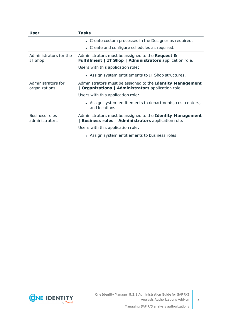| User                                    | <b>Tasks</b>                                                                                                        |
|-----------------------------------------|---------------------------------------------------------------------------------------------------------------------|
|                                         | • Create custom processes in the Designer as required.                                                              |
|                                         | • Create and configure schedules as required.                                                                       |
| Administrators for the<br>IT Shop       | Administrators must be assigned to the Request &<br><b>Fulfillment   IT Shop   Administrators application role.</b> |
|                                         | Users with this application role:                                                                                   |
|                                         | • Assign system entitlements to IT Shop structures.                                                                 |
| Administrators for<br>organizations     | Administrators must be assigned to the Identity Management<br>  Organizations   Administrators application role.    |
|                                         | Users with this application role:                                                                                   |
|                                         | • Assign system entitlements to departments, cost centers,<br>and locations.                                        |
| <b>Business roles</b><br>administrators | Administrators must be assigned to the Identity Management<br>  Business roles   Administrators application role.   |
|                                         | Users with this application role:                                                                                   |
|                                         | • Assign system entitlements to business roles.                                                                     |

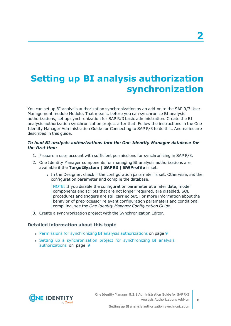# <span id="page-7-0"></span>**Setting up BI analysis authorization synchronization**

You can set up BI analysis authorization synchronization as an add-on to the SAP R/3 User Management module Module. That means, before you can synchronize BI analysis authorizations, set up synchronization for SAP R/3 basic administration. Create the BI analysis authorization synchronization project after that. Follow the instructions in the One Identity Manager Administration Guide for Connecting to SAP R/3 to do this. Anomalies are described in this guide.

#### *To load BI analysis authorizations into the One Identity Manager database for the first time*

- 1. Prepare a user account with sufficient permissions for synchronizing in SAP R/3.
- 2. One Identity Manager components for managing BI analysis authorizations are available if the **TargetSystem | SAPR3 | BWProfile** is set.
	- In the Designer, check if the configuration parameter is set. Otherwise, set the configuration parameter and compile the database.

NOTE: If you disable the configuration parameter at a later date, model components and scripts that are not longer required, are disabled. SQL procedures and triggers are still carried out. For more information about the behavior of preprocessor relevant configuration parameters and conditional compiling, see the *One Identity Manager Configuration Guide*.

3. Create a synchronization project with the Synchronization Editor.

#### **Detailed information about this topic**

- Permissions for synchronizing BI analysis [authorizations](#page-8-0) on page 9
- Setting up a [synchronization](#page-8-1) project for synchronizing BI analysis [authorizations](#page-8-1) on page 9

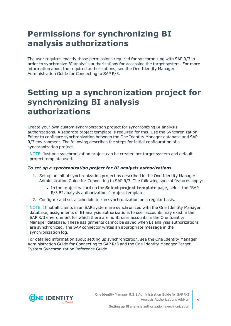### <span id="page-8-0"></span>**Permissions for synchronizing BI analysis authorizations**

The user requires exactly those permissions required for synchronizing with SAP R/3 in order to synchronize BI analysis authorizations for accessing the target system. For more information about the required authorizations, see the One Identity Manager Administration Guide for Connecting to SAP R/3.

### <span id="page-8-1"></span>**Setting up a synchronization project for synchronizing BI analysis authorizations**

Create your own custom synchronization project for synchronizing BI analysis authorizations. A separate project template is required for this. Use the Synchronization Editor to configure synchronization between the One Identity Manager database and SAP R/3 environment. The following describes the steps for initial configuration of a synchronization project.

NOTE: Just one synchronization project can be created per target system and default project template used.

#### *To set up a synchronization project for BI analysis authorizations*

- 1. Set up an initial synchronization project as described in the One Identity Manager Administration Guide for Connecting to SAP R/3. The following special features apply:
	- <sup>l</sup> In the project wizard on the **Select project template** page, select the "SAP R/3 BI analysis authorizations" project template.
- 2. Configure and set a schedule to run synchronization on a regular basis.

NOTE: If not all clients in an SAP system are synchronized with the One Identity Manager database, assignments of BI analysis authorizations to user accounts may exist in the SAP R/3 environment for which there are no BI user accounts in the One Identity Manager database. These assignments cannot be saved when BI analysis authorizations are synchronized. The SAP connector writes an appropriate message in the synchronization log.

For detailed information about setting up synchronization, see the One Identity Manager Administration Guide for Connecting to SAP R/3 and the One Identity Manager Target System Synchronization Reference Guide.

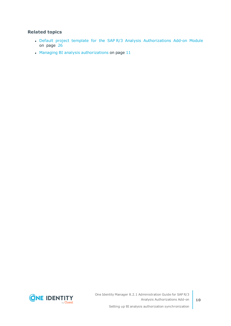#### **Related topics**

- Default project template for the SAP R/3 Analysis [Authorizations](#page-25-0) Add-on Module on [page](#page-25-0) 26
- $\bullet$  Managing BI analysis [authorizations](#page-10-0) on page 11

**10**

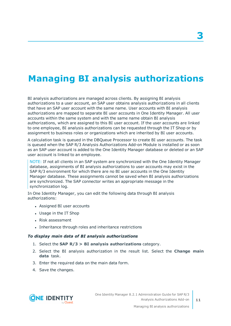## <span id="page-10-0"></span>**Managing BI analysis authorizations**

BI analysis authorizations are managed across clients. By assigning BI analysis authorizations to a user account, an SAP user obtains analysis authorizations in all clients that have an SAP user account with the same name. User accounts with BI analysis authorizations are mapped to separate BI user accounts in One Identity Manager. All user accounts within the same system and with the same name obtain BI analysis authorizations, which are assigned to this BI user account. If the user accounts are linked to one employee, BI analysis authorizations can be requested through the IT Shop or by assignment to business roles or organizations which are inherited by BI user accounts.

A calculation task is queued in the DBQueue Processor to create BI user accounts. The task is queued when the SAP R/3 Analysis Authorizations Add-on Module is installed or as soon as an SAP user account is added to the One Identity Manager database or deleted or an SAP user account is linked to an employee.

NOTE: If not all clients in an SAP system are synchronized with the One Identity Manager database, assignments of BI analysis authorizations to user accounts may exist in the SAP R/3 environment for which there are no BI user accounts in the One Identity Manager database. These assignments cannot be saved when BI analysis authorizations are synchronized. The SAP connector writes an appropriate message in the synchronization log.

In One Identity Manager, you can edit the following data through BI analysis authorizations:

- Assigned BI user accounts
- Usage in the IT Shop
- Risk assessment
- Inheritance through roles and inheritance restrictions

#### *To display main data of BI analysis authorizations*

- 1. Select the **SAP R/3 > BI analysis authorizations** category.
- 2. Select the BI analysis authorization in the result list. Select the **Change main data** task.
- 3. Enter the required data on the main data form.
- 4. Save the changes.

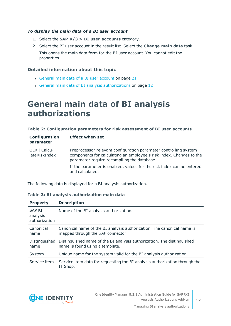#### *To display the main data of a BI user account*

- 1. Select the **SAP R/3 > BI user accounts** category.
- 2. Select the BI user account in the result list. Select the **Change main data** task.

This opens the main data form for the BI user account. You cannot edit the properties.

#### **Detailed information about this topic**

- [General](#page-20-0) main data of a BI user account on page 21
- General main data of BI analysis [authorizations](#page-11-0) on page 12

### <span id="page-11-0"></span>**General main data of BI analysis authorizations**

#### **Table 2: Configuration parameters for risk assessment of BI user accounts**

| Configuration<br>parameter    | <b>Effect when set</b>                                                                                                                                                                 |
|-------------------------------|----------------------------------------------------------------------------------------------------------------------------------------------------------------------------------------|
| QER   Calcu-<br>lateRiskIndex | Preprocessor relevant configuration parameter controlling system<br>components for calculating an employee's risk index. Changes to the<br>parameter require recompiling the database. |
|                               | If the parameter is enabled, values for the risk index can be entered<br>and calculated.                                                                                               |

The following data is displayed for a BI analysis authorization.

#### **Table 3: BI analysis authorization main data**

| <b>Property</b>                     | <b>Description</b>                                                                                          |
|-------------------------------------|-------------------------------------------------------------------------------------------------------------|
| SAP BI<br>analysis<br>authorization | Name of the BI analysis authorization.                                                                      |
| Canonical<br>name                   | Canonical name of the BI analysis authorization. The canonical name is<br>mapped through the SAP connector. |
| Distinguished<br>name               | Distinguished name of the BI analysis authorization. The distinguished<br>name is found using a template.   |
| System                              | Unique name for the system valid for the BI analysis authorization.                                         |
| Service item                        | Service item data for requesting the BI analysis authorization through the<br>IT Shop.                      |

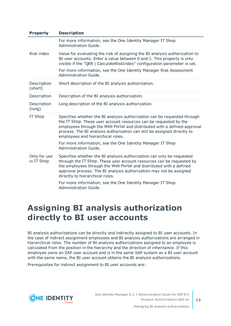| <b>Property</b>            | <b>Description</b>                                                                                                                                                                                                                                                                                                                         |
|----------------------------|--------------------------------------------------------------------------------------------------------------------------------------------------------------------------------------------------------------------------------------------------------------------------------------------------------------------------------------------|
|                            | For more information, see the One Identity Manager IT Shop<br>Administration Guide.                                                                                                                                                                                                                                                        |
| Risk index                 | Value for evaluating the risk of assigning the BI analysis authorization to<br>BI user accounts. Enter a value between 0 and 1. This property is only<br>visible if the "QER   CalculateRiskIndex" configuration parameter is set.                                                                                                         |
|                            | For more information, see the One Identity Manager Risk Assessment<br>Administration Guide.                                                                                                                                                                                                                                                |
| Description<br>(short)     | Short description of the BI analysis authorization.                                                                                                                                                                                                                                                                                        |
| Description                | Description of the BI analysis authorization.                                                                                                                                                                                                                                                                                              |
| Description<br>(long)      | Long description of the BI analysis authorization.                                                                                                                                                                                                                                                                                         |
| IT Shop                    | Specifies whether the BI analysis authorization can be requested through<br>the IT Shop. These user account resources can be requested by the<br>employees through the Web Portal and distributed with a defined approval<br>process. The BI analysis authorization can still be assigned directly to<br>employees and hierarchical roles. |
|                            | For more information, see the One Identity Manager IT Shop<br>Administration Guide.                                                                                                                                                                                                                                                        |
| Only for use<br>in IT Shop | Specifies whether the BI analysis authorization can only be requested<br>through the IT Shop. These user account resources can be requested by<br>the employees through the Web Portal and distributed with a defined<br>approval process. The BI analysis authorization may not be assigned<br>directly to hierarchical roles.            |
|                            | For more information, see the One Identity Manager IT Shop<br>Administration Guide.                                                                                                                                                                                                                                                        |

### <span id="page-12-0"></span>**Assigning BI analysis authorization directly to BI user accounts**

BI analysis authorizations can be directly and indirectly assigned to BI user accounts. In the case of indirect assignment employees and BI analysis authorizations are arranged in hierarchical roles. The number of BI analysis authorizations assigned to an employee is calculated from the position in the hierarchy and the direction of inheritance. If this employee owns an SAP user account and is in the same SAP system as a BI user account with the same name, the BI user account obtains the BI analysis authorizations.

Prerequisites for indirect assignment to BI user accounts are:

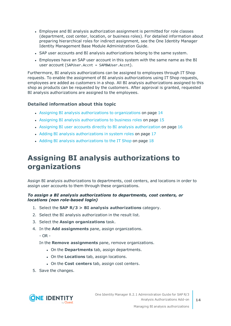- <sup>l</sup> Employee and BI analysis authorization assignment is permitted for role classes (department, cost center, location, or business roles). For detailed information about preparing hierarchical roles for indirect assignment, see the One Identity Manager Identity Management Base Module Administration Guide.
- SAP user accounts and BI analysis authorizations belong to the same system.
- Employees have an SAP user account in this system with the same name as the BI user account (SAPUser.Accnt = SAPBWUser.Accnt).

Furthermore, BI analysis authorizations can be assigned to employees through IT Shop requests. To enable the assignment of BI analysis authorizations using IT Shop requests, employees are added as customers in a shop. All BI analysis authorizations assigned to this shop as products can be requested by the customers. After approval is granted, requested BI analysis authorizations are assigned to the employees.

#### **Detailed information about this topic**

- Assigning BI analysis [authorizations](#page-13-0) to organizations on page 14
- Assigning BI analysis [authorizations](#page-14-0) to business roles on page 15
- Assigning BI user accounts directly to BI analysis [authorization](#page-15-0) on page 16
- Adding BI analysis [authorizations](#page-16-0) in system roles on page 17
- Adding BI analysis [authorizations](#page-17-0) to the IT Shop on page  $18$

### <span id="page-13-0"></span>**Assigning BI analysis authorizations to organizations**

Assign BI analysis authorizations to departments, cost centers, and locations in order to assign user accounts to them through these organizations.

#### *To assign a BI analysis authorizations to departments, cost centers, or locations (non role-based login)*

- 1. Select the **SAP R/3 > BI analysis authorizations** category.
- 2. Select the BI analysis authorization in the result list.
- 3. Select the **Assign organizations** task.
- 4. In the **Add assignments** pane, assign organizations.
	- $OR -$

In the **Remove assignments** pane, remove organizations.

- **.** On the **Departments** tab, assign departments.
- **.** On the **Locations** tab, assign locations.
- **.** On the **Cost centers** tab, assign cost centers.
- 5. Save the changes.

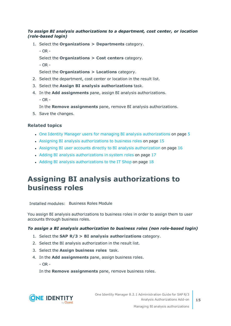#### *To assign BI analysis authorizations to a department, cost center, or location (role-based login)*

- 1. Select the **Organizations > Departments** category.
	- OR -

Select the **Organizations > Cost centers** category.

- OR -

Select the **Organizations > Locations** category.

- 2. Select the department, cost center or location in the result list.
- 3. Select the **Assign BI analysis authorizations** task.
- 4. In the **Add assignments** pane, assign BI analysis authorizations.
	- OR -

In the **Remove assignments** pane, remove BI analysis authorizations.

5. Save the changes.

#### **Related topics**

- One Identity Manager users for managing BI analysis [authorizations](#page-4-0) on page 5
- Assigning BI analysis [authorizations](#page-14-0) to business roles on page 15
- Assigning BI user accounts directly to BI analysis [authorization](#page-15-0) on page 16
- Adding BI analysis [authorizations](#page-16-0) in system roles on page 17
- Adding BI analysis [authorizations](#page-17-0) to the IT Shop on page 18

### <span id="page-14-0"></span>**Assigning BI analysis authorizations to business roles**

Installed modules: Business Roles Module

You assign BI analysis authorizations to business roles in order to assign them to user accounts through business roles.

#### *To assign a BI analysis authorization to business roles (non role-based login)*

- 1. Select the **SAP R/3 > BI analysis authorizations** category.
- 2. Select the BI analysis authorization in the result list.
- 3. Select the **Assign business roles** task.
- 4. In the **Add assignments** pane, assign business roles.

 $-$  OR  $-$ 

In the **Remove assignments** pane, remove business roles.

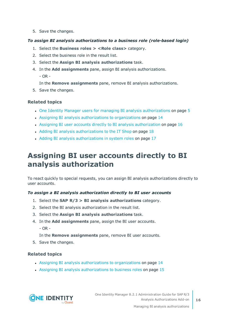5. Save the changes.

#### *To assign BI analysis authorizations to a business role (role-based login)*

- 1. Select the **Business roles > <Role class>** category.
- 2. Select the business role in the result list.
- 3. Select the **Assign BI analysis authorizations** task.
- 4. In the **Add assignments** pane, assign BI analysis authorizations. - OR -

In the **Remove assignments** pane, remove BI analysis authorizations.

5. Save the changes.

#### **Related topics**

- One Identity Manager users for managing BI analysis [authorizations](#page-4-0) on page 5
- Assigning BI analysis [authorizations](#page-13-0) to organizations on page 14
- Assigning BI user accounts directly to BI analysis [authorization](#page-15-0) on page 16
- Adding BI analysis [authorizations](#page-17-0) to the IT Shop on page 18
- Adding BI analysis [authorizations](#page-16-0) in system roles on page 17

### <span id="page-15-0"></span>**Assigning BI user accounts directly to BI analysis authorization**

To react quickly to special requests, you can assign BI analysis authorizations directly to user accounts.

#### *To assign a BI analysis authorization directly to BI user accounts*

- 1. Select the **SAP R/3 > BI analysis authorizations** category.
- 2. Select the BI analysis authorization in the result list.
- 3. Select the **Assign BI analysis authorizations** task.
- 4. In the **Add assignments** pane, assign the BI user accounts.
	- $-$  OR  $-$
	- In the **Remove assignments** pane, remove BI user accounts.
- 5. Save the changes.

#### **Related topics**

- Assigning BI analysis [authorizations](#page-13-0) to organizations on page 14
- Assigning BI analysis [authorizations](#page-14-0) to business roles on page 15

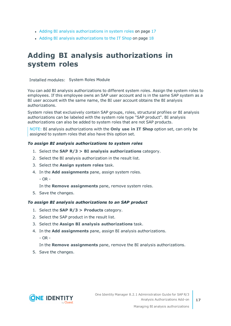- Adding BI analysis [authorizations](#page-16-0) in system roles on page 17
- Adding BI analysis [authorizations](#page-17-0) to the IT Shop on page 18

### <span id="page-16-0"></span>**Adding BI analysis authorizations in system roles**

Installed modules: System Roles Module

You can add BI analysis authorizations to different system roles. Assign the system roles to employees. If this employee owns an SAP user account and is in the same SAP system as a BI user account with the same name, the BI user account obtains the BI analysis authorizations.

System roles that exclusively contain SAP groups, roles, structural profiles or BI analysis authorizations can be labeled with the system role type "SAP product". BI analysis authorizations can also be added to system roles that are not SAP products.

NOTE: BI analysis authorizations with the **Only use in IT Shop** option set, can only be assigned to system roles that also have this option set.

#### *To assign BI analysis authorizations to system roles*

- 1. Select the **SAP R/3 > BI analysis authorizations** category.
- 2. Select the BI analysis authorization in the result list.
- 3. Select the **Assign system roles** task.
- 4. In the **Add assignments** pane, assign system roles.
	- OR -

In the **Remove assignments** pane, remove system roles.

5. Save the changes.

#### *To assign BI analysis authorizations to an SAP product*

- 1. Select the **SAP R/3 > Products** category.
- 2. Select the SAP product in the result list.
- 3. Select the **Assign BI analysis authorizations** task.
- 4. In the **Add assignments** pane, assign BI analysis authorizations.
	- $-$  OR  $-$

In the **Remove assignments** pane, remove the BI analysis authorizations.

5. Save the changes.

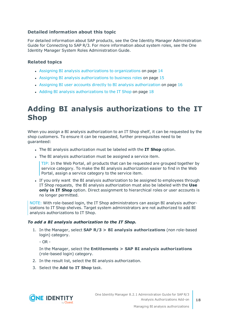#### **Detailed information about this topic**

For detailed information about SAP products, see the One Identity Manager Administration Guide for Connecting to SAP R/3. For more information about system roles, see the One Identity Manager System Roles Administration Guide.

#### **Related topics**

- Assigning BI analysis [authorizations](#page-13-0) to organizations on page 14
- Assigning BI analysis [authorizations](#page-14-0) to business roles on page 15
- Assigning BI user accounts directly to BI analysis [authorization](#page-15-0) on page 16
- Adding BI analysis [authorizations](#page-17-0) to the IT Shop on page 18

### <span id="page-17-0"></span>**Adding BI analysis authorizations to the IT Shop**

When you assign a BI analysis authorization to an IT Shop shelf, it can be requested by the shop customers. To ensure it can be requested, further prerequisites need to be guaranteed:

- <sup>l</sup> The BI analysis authorization must be labeled with the **IT Shop** option.
- The BI analysis authorization must be assigned a service item.

TIP: In the Web Portal, all products that can be requested are grouped together by service category. To make the BI analysis authorization easier to find in the Web Portal, assign a service category to the service item.

If you only want the BI analysis authorization to be assigned to employees through IT Shop requests, the BI analysis authorization must also be labeled with the **Use only in IT Shop** option. Direct assignment to hierarchical roles or user accounts is no longer permitted.

NOTE: With role-based login, the IT Shop administrators can assign BI analysis authorizations to IT Shop shelves. Target system administrators are not authorized to add BI analysis authorizations to IT Shop.

#### *To add a BI analysis authorization to the IT Shop.*

1. In the Manager, select **SAP R/3 > BI analysis authorizations** (non role-based login) category.

 $- OR -$ 

In the Manager, select the **Entitlements > SAP BI analysis authorizations** (role-based login) category.

- 2. In the result list, select the BI analysis authorization.
- 3. Select the **Add to IT Shop** task.

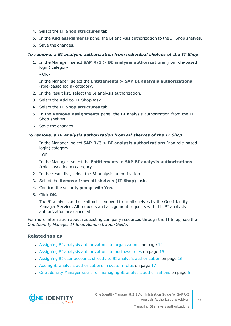- 4. Select the **IT Shop structures** tab.
- 5. In the **Add assignments** pane, the BI analysis authorization to the IT Shop shelves.
- 6. Save the changes.

#### *To remove, a BI analysis authorization from individual shelves of the IT Shop*

1. In the Manager, select **SAP R/3 > BI analysis authorizations** (non role-based login) category.

- OR -

In the Manager, select the **Entitlements > SAP BI analysis authorizations** (role-based login) category.

- 2. In the result list, select the BI analysis authorization.
- 3. Select the **Add to IT Shop** task.
- 4. Select the **IT Shop structures** tab.
- 5. In the **Remove assignments** pane, the BI analysis authorization from the IT Shop shelves.
- 6. Save the changes.

#### *To remove, a BI analysis authorization from all shelves of the IT Shop*

1. In the Manager, select **SAP R/3 > BI analysis authorizations** (non role-based login) category.

- OR -

In the Manager, select the **Entitlements > SAP BI analysis authorizations** (role-based login) category.

- 2. In the result list, select the BI analysis authorization.
- 3. Select the **Remove from all shelves (IT Shop)** task.
- 4. Confirm the security prompt with **Yes**.
- 5. Click **OK**.

The BI analysis authorization is removed from all shelves by the One Identity Manager Service. All requests and assignment requests with this BI analysis authorization are canceled.

For more information about requesting company resources through the IT Shop, see the *One Identity Manager IT Shop Administration Guide*.

#### **Related topics**

- Assigning BI analysis [authorizations](#page-13-0) to organizations on page 14
- Assigning BI analysis [authorizations](#page-14-0) to business roles on page 15
- Assigning BI user accounts directly to BI analysis [authorization](#page-15-0) on page 16
- Adding BI analysis [authorizations](#page-16-0) in system roles on page 17
- One Identity Manager users for managing BI analysis [authorizations](#page-4-0) on page 5

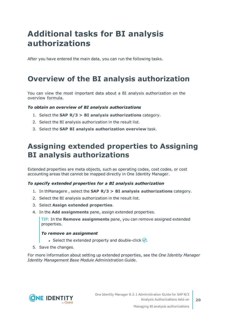## <span id="page-19-0"></span>**Additional tasks for BI analysis authorizations**

After you have entered the main data, you can run the following tasks.

### <span id="page-19-1"></span>**Overview of the BI analysis authorization**

You can view the most important data about a BI analysis authorization on the overview formula.

#### *To obtain an overview of BI analysis authorizations*

- 1. Select the **SAP R/3 > BI analysis authorizations** category.
- 2. Select the BI analysis authorization in the result list.
- <span id="page-19-2"></span>3. Select the **SAP BI analysis authorization overview** task.

### **Assigning extended properties to Assigning BI analysis authorizations**

Extended properties are meta objects, such as operating codes, cost codes, or cost accounting areas that cannot be mapped directly in One Identity Manager.

#### *To specify extended properties for a BI analysis authorization*

- 1. In thManagere , select the **SAP R/3 > BI analysis authorizations** category.
- 2. Select the BI analysis authorization in the result list.
- 3. Select **Assign extended properties**.
- 4. In the **Add assignments** pane, assign extended properties.

TIP: In the **Remove assignments** pane, you can remove assigned extended properties.

#### *To remove an assignment*

- **Select the extended property and double-click**  $\odot$ **.**
- 5. Save the changes.

For more information about setting up extended properties, see the *One Identity Manager Identity Management Base Module Administration Guide*.

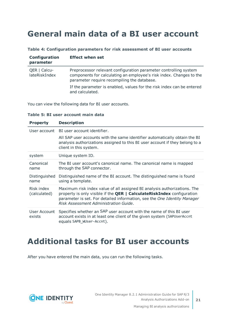### <span id="page-20-0"></span>**General main data of a BI user account**

| Configuration<br>parameter    | <b>Effect when set</b>                                                                                                                                                                 |
|-------------------------------|----------------------------------------------------------------------------------------------------------------------------------------------------------------------------------------|
| QER   Calcu-<br>lateRiskIndex | Preprocessor relevant configuration parameter controlling system<br>components for calculating an employee's risk index. Changes to the<br>parameter require recompiling the database. |
|                               | If the parameter is enabled, values for the risk index can be entered<br>and calculated.                                                                                               |

#### **Table 4: Configuration parameters for risk assessment of BI user accounts**

You can view the following data for BI user accounts.

|  |  |  |  | Table 5: BI user account main data |  |  |
|--|--|--|--|------------------------------------|--|--|
|--|--|--|--|------------------------------------|--|--|

| <b>Property</b>            | <b>Description</b>                                                                                                                                                                                                                                                             |
|----------------------------|--------------------------------------------------------------------------------------------------------------------------------------------------------------------------------------------------------------------------------------------------------------------------------|
| User account               | BI user account identifier.                                                                                                                                                                                                                                                    |
|                            | All SAP user accounts with the same identifier automatically obtain the BI<br>analysis authorizations assigned to this BI user account if they belong to a<br>client in this system.                                                                                           |
| system                     | Unique system ID.                                                                                                                                                                                                                                                              |
| Canonical<br>name          | The BI user account's canonical name. The canonical name is mapped<br>through the SAP connector.                                                                                                                                                                               |
| Distinguished<br>name      | Distinguished name of the BI account. The distinguished name is found<br>using a template.                                                                                                                                                                                     |
| Risk index<br>(calculated) | Maximum risk index value of all assigned BI analysis authorizations. The<br>property is only visible if the <b>QER   CalculateRiskIndex</b> configuration<br>parameter is set. For detailed information, see the One Identity Manager<br>Risk Assessment Administration Guide. |
| User Account<br>exists     | Specifies whether an SAP user account with the name of this BI user<br>account exists in at least one client of the given system (SAPUserAccnt<br>equals SAPB WUser-Accnt).                                                                                                    |

### <span id="page-20-1"></span>**Additional tasks for BI user accounts**

After you have entered the main data, you can run the following tasks.

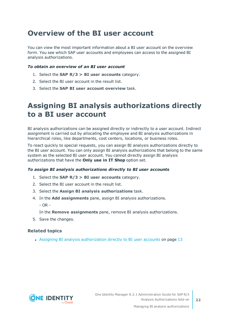### <span id="page-21-0"></span>**Overview of the BI user account**

You can view the most important information about a BI user account on the overview form. You see which SAP user accounts and employees can access to the assigned BI analysis authorizations.

#### *To obtain an overview of an BI user account*

- 1. Select the **SAP R/3 > BI user accounts** category.
- 2. Select the BI user account in the result list.
- <span id="page-21-1"></span>3. Select the **SAP BI user account overview** task.

### **Assigning BI analysis authorizations directly to a BI user account**

BI analysis authorizations can be assigned directly or indirectly to a user account. Indirect assignment is carried out by allocating the employee and BI analysis authorizations in hierarchical roles, like departments, cost centers, locations, or business roles.

To react quickly to special requests, you can assign BI analysis authorizations directly to the BI user account. You can only assign BI analysis authorizations that belong to the same system as the selected BI user account. You cannot directly assign BI analysis authorizations that have the **Only use in IT Shop** option set.

#### *To assign BI analysis authorizations directly to BI user accounts*

- 1. Select the **SAP R/3 > BI user accounts** category.
- 2. Select the BI user account in the result list.
- 3. Select the **Assign BI analysis authorizations** task.
- 4. In the **Add assignments** pane, assign BI analysis authorizations.
	- OR -

In the **Remove assignments** pane, remove BI analysis authorizations.

5. Save the changes.

#### **Related topics**

• Assigning BI analysis [authorization](#page-12-0) directly to BI user accounts on page 13



**22**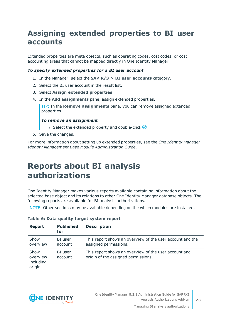### <span id="page-22-0"></span>**Assigning extended properties to BI user accounts**

Extended properties are meta objects, such as operating codes, cost codes, or cost accounting areas that cannot be mapped directly in One Identity Manager.

#### *To specify extended properties for a BI user account*

- 1. In the Manager, select the **SAP R/3 > BI user accounts** category.
- 2. Select the BI user account in the result list.
- 3. Select **Assign extended properties**.
- 4. In the **Add assignments** pane, assign extended properties.

TIP: In the **Remove assignments** pane, you can remove assigned extended properties.

#### *To remove an assignment*

- **Select the extended property and double-click**  $\odot$ **.**
- 5. Save the changes.

For more information about setting up extended properties, see the *One Identity Manager Identity Management Base Module Administration Guide*.

### <span id="page-22-1"></span>**Reports about BI analysis authorizations**

One Identity Manager makes various reports available containing information about the selected base object and its relations to other One Identity Manager database objects. The following reports are available for BI analysis authorizations.

NOTE: Other sections may be available depending on the which modules are installed.

| <b>Report</b>                           | <b>Published</b><br>for | <b>Description</b>                                                                           |
|-----------------------------------------|-------------------------|----------------------------------------------------------------------------------------------|
| Show<br>overview                        | BI user<br>account      | This report shows an overview of the user account and the<br>assigned permissions.           |
| Show<br>overview<br>including<br>origin | BI user<br>account      | This report shows an overview of the user account and<br>origin of the assigned permissions. |

#### **Table 6: Data quality target system report**

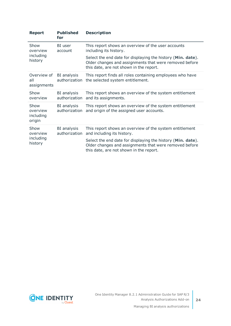| <b>Report</b>                            | <b>Published</b><br>for      | <b>Description</b>                                                                                                                                               |
|------------------------------------------|------------------------------|------------------------------------------------------------------------------------------------------------------------------------------------------------------|
| Show<br>overview<br>including<br>history | BI user<br>account           | This report shows an overview of the user accounts<br>including its history.                                                                                     |
|                                          |                              | Select the end date for displaying the history (Min. date).<br>Older changes and assignments that were removed before<br>this date, are not shown in the report. |
| Overview of<br>all<br>assignments        | BI analysis<br>authorization | This report finds all roles containing employees who have<br>the selected system entitlement.                                                                    |
| Show<br>overview                         | BI analysis<br>authorization | This report shows an overview of the system entitlement<br>and its assignments.                                                                                  |
| Show<br>overview<br>including<br>origin  | BI analysis<br>authorization | This report shows an overview of the system entitlement<br>and origin of the assigned user accounts.                                                             |
| Show<br>overview<br>including<br>history | BI analysis<br>authorization | This report shows an overview of the system entitlement<br>and including its history.                                                                            |
|                                          |                              | Select the end date for displaying the history (Min. date).<br>Older changes and assignments that were removed before<br>this date, are not shown in the report. |

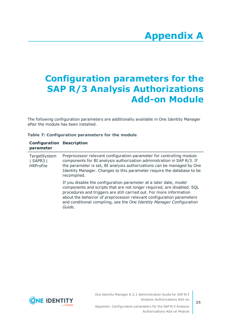# **Appendix A**

## <span id="page-24-0"></span>**Appendix:Configuration parameters for the SAP R/3 Analysis Authorizations Add-on Module**

The following configuration parameters are additionally available in One Identity Manager after the module has been installed.

|  | Table 7: Configuration parameters for the module |  |  |
|--|--------------------------------------------------|--|--|
|  |                                                  |  |  |

| <b>Configuration Description</b><br>parameter |                                                                                                                                                                                                                                                                                                                                                                               |
|-----------------------------------------------|-------------------------------------------------------------------------------------------------------------------------------------------------------------------------------------------------------------------------------------------------------------------------------------------------------------------------------------------------------------------------------|
| TargetSystem<br>  SAPR3  <br><b>HRProfile</b> | Preprocessor relevant configuration parameter for controlling module<br>components for BI analysis authorization administration in SAP R/3. If<br>the parameter is set, BI analysis authorizations can be managed by One<br>Identity Manager. Changes to this parameter require the database to be<br>recompiled.                                                             |
|                                               | If you disable the configuration parameter at a later date, model<br>components and scripts that are not longer required, are disabled. SQL<br>procedures and triggers are still carried out. For more information<br>about the behavior of preprocessor relevant configuration parameters<br>and conditional compiling, see the One Identity Manager Configuration<br>Guide. |



One Identity Manager 8.2.1 Administration Guide for SAP R/3 Analysis Authorizations Add-on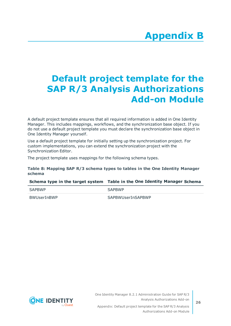# **Appendix B**

# <span id="page-25-0"></span>**Appendix:Default project template for the SAP R/3 Analysis Authorizations Add-on Module**

A default project template ensures that all required information is added in One Identity Manager. This includes mappings, workflows, and the synchronization base object. If you do not use a default project template you must declare the synchronization base object in One Identity Manager yourself.

Use a default project template for initially setting up the synchronization project. For custom implementations, you can extend the synchronization project with the Synchronization Editor.

The project template uses mappings for the following schema types.

#### **Table 8: Mapping SAP R/3 schema types to tables in the One Identity Manager schema**

#### **Schema type in the target system Table in the One Identity Manager Schema**

| SAPBWP      | <b>SAPBWP</b>     |
|-------------|-------------------|
| BWUserInBWP | SAPBWUserInSAPBWP |

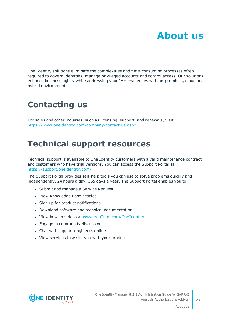<span id="page-26-0"></span>One Identity solutions eliminate the complexities and time-consuming processes often required to govern identities, manage privileged accounts and control access. Our solutions enhance business agility while addressing your IAM challenges with on-premises, cloud and hybrid environments.

## <span id="page-26-1"></span>**Contacting us**

For sales and other inquiries, such as licensing, support, and renewals, visit <https://www.oneidentity.com/company/contact-us.aspx>.

### <span id="page-26-2"></span>**Technical support resources**

Technical support is available to One Identity customers with a valid maintenance contract and customers who have trial versions. You can access the Support Portal at [https://support.oneidentity.com/.](https://support.oneidentity.com/)

The Support Portal provides self-help tools you can use to solve problems quickly and independently, 24 hours a day, 365 days a year. The Support Portal enables you to:

- Submit and manage a Service Request
- View Knowledge Base articles
- Sign up for product notifications
- Download software and technical documentation
- View how-to videos at [www.YouTube.com/OneIdentity](http://www.youtube.com/OneIdentity)
- Engage in community discussions
- Chat with support engineers online
- View services to assist you with your product



About us